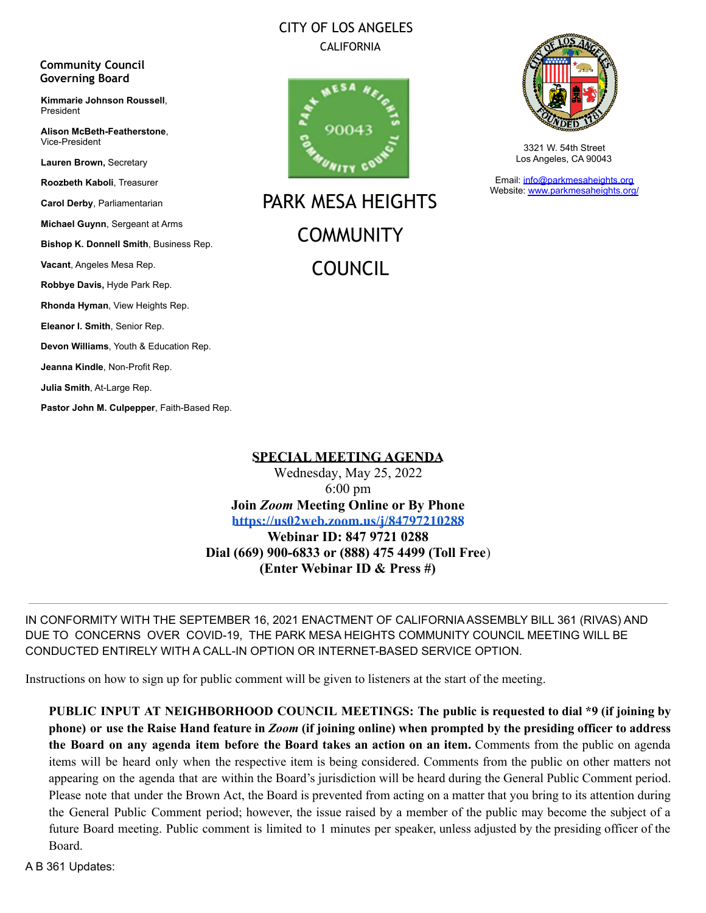### CITY OF LOS ANGELES CALIFORNIA



PARK MESA HEIGHTS **COMMUNITY** COUNCIL



3321 W. 54th Street Los Angeles, CA 90043

Email: [info@parkmesaheights.org](mailto:info@parkmesaheights.org) Website: [www.parkmesaheights.org/](http://www.parkmesaheights.org/)

**Lauren Brown,** Secretary **Roozbeth Kaboli**, Treasurer **Carol Derby**, Parliamentarian **Michael Guynn**, Sergeant at Arms **Bishop K. Donnell Smith**, Business Rep. **Vacant**, Angeles Mesa Rep. **Robbye Davis,** Hyde Park Rep. **Rhonda Hyman**, View Heights Rep. **Eleanor I. Smith**, Senior Rep. **Devon Williams**, Youth & Education Rep. **Jeanna Kindle**, Non-Profit Rep. **Julia Smith**, At-Large Rep.

**Pastor John M. Culpepper**, Faith-Based Rep.

**Community Council Governing Board**

President

Vice-President

**Kimmarie Johnson Roussell**,

**Alison McBeth-Featherstone**,

**SPECIAL MEETING AGENDA**

Wednesday, May 25, 2022 6:00 pm **Join** *Zoom* **Meeting Online or By Phone <https://us02web.zoom.us/j/84797210288> Webinar ID: 847 9721 0288 Dial (669) 900-6833 or (888) 475 4499 (Toll Free**) **(Enter Webinar ID & Press #)**

IN CONFORMITY WITH THE SEPTEMBER 16, 2021 ENACTMENT OF CALIFORNIA ASSEMBLY BILL 361 (RIVAS) AND DUE TO CONCERNS OVER COVID-19, THE PARK MESA HEIGHTS COMMUNITY COUNCIL MEETING WILL BE CONDUCTED ENTIRELY WITH A CALL-IN OPTION OR INTERNET-BASED SERVICE OPTION.

Instructions on how to sign up for public comment will be given to listeners at the start of the meeting.

**PUBLIC INPUT AT NEIGHBORHOOD COUNCIL MEETINGS: The public is requested to dial \*9 (if joining by phone) or use the Raise Hand feature in** *Zoom* **(if joining online) when prompted by the presiding officer to address the Board on any agenda item before the Board takes an action on an item.** Comments from the public on agenda items will be heard only when the respective item is being considered. Comments from the public on other matters not appearing on the agenda that are within the Board's jurisdiction will be heard during the General Public Comment period. Please note that under the Brown Act, the Board is prevented from acting on a matter that you bring to its attention during the General Public Comment period; however, the issue raised by a member of the public may become the subject of a future Board meeting. Public comment is limited to 1 minutes per speaker, unless adjusted by the presiding officer of the Board.

A B 361 Updates: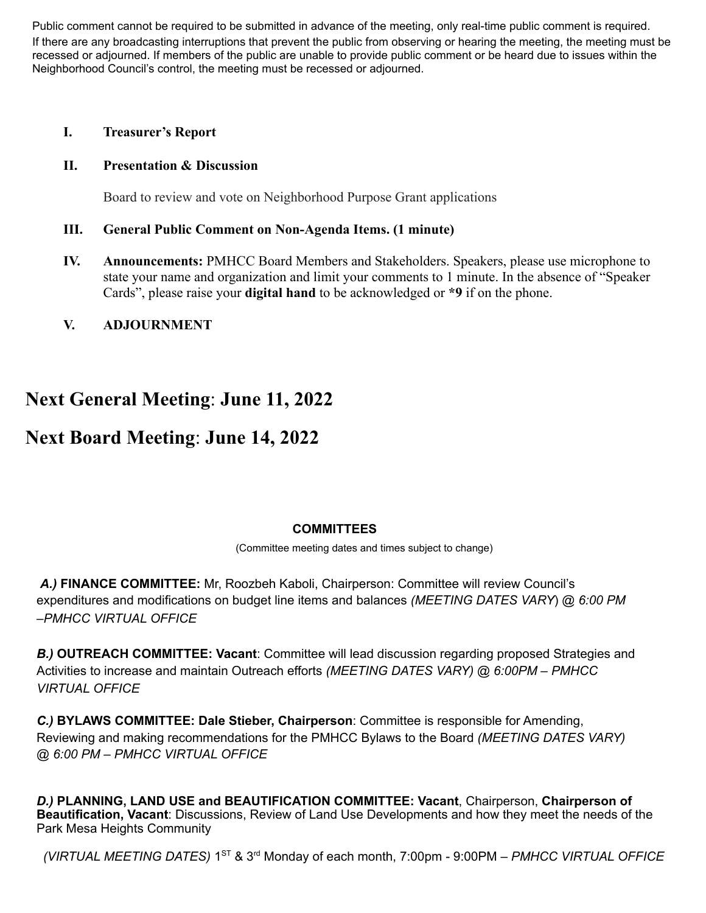Public comment cannot be required to be submitted in advance of the meeting, only real-time public comment is required. If there are any broadcasting interruptions that prevent the public from observing or hearing the meeting, the meeting must be recessed or adjourned. If members of the public are unable to provide public comment or be heard due to issues within the Neighborhood Council's control, the meeting must be recessed or adjourned.

### **I. Treasurer's Report**

### **II. Presentation & Discussion**

Board to review and vote on Neighborhood Purpose Grant applications

### **III. General Public Comment on Non-Agenda Items. (1 minute)**

**IV. Announcements:** PMHCC Board Members and Stakeholders. Speakers, please use microphone to state your name and organization and limit your comments to 1 minute. In the absence of "Speaker Cards", please raise your **digital hand** to be acknowledged or **\*9** if on the phone.

### **V. ADJOURNMENT**

## **Next General Meeting**: **June 11, 2022**

## **Next Board Meeting**: **June 14, 2022**

#### **COMMITTEES**

(Committee meeting dates and times subject to change)

*A.)* **FINANCE COMMITTEE:** Mr, Roozbeh Kaboli, Chairperson: Committee will review Council's expenditures and modifications on budget line items and balances *(MEETING DATES VARY*) @ *6:00 PM –PMHCC VIRTUAL OFFICE*

*B.)* **OUTREACH COMMITTEE: Vacant**: Committee will lead discussion regarding proposed Strategies and Activities to increase and maintain Outreach efforts *(MEETING DATES VARY) @ 6:00PM – PMHCC VIRTUAL OFFICE*

*C.)* **BYLAWS COMMITTEE: Dale Stieber, Chairperson**: Committee is responsible for Amending, Reviewing and making recommendations for the PMHCC Bylaws to the Board *(MEETING DATES VARY) @ 6:00 PM – PMHCC VIRTUAL OFFICE*

*D.)* **PLANNING, LAND USE and BEAUTIFICATION COMMITTEE: Vacant**, Chairperson, **Chairperson of Beautification, Vacant**: Discussions, Review of Land Use Developments and how they meet the needs of the Park Mesa Heights Community

*(VIRTUAL MEETING DATES)* 1 ST & 3 rd Monday of each month, 7:00pm - 9:00PM *– PMHCC VIRTUAL OFFICE*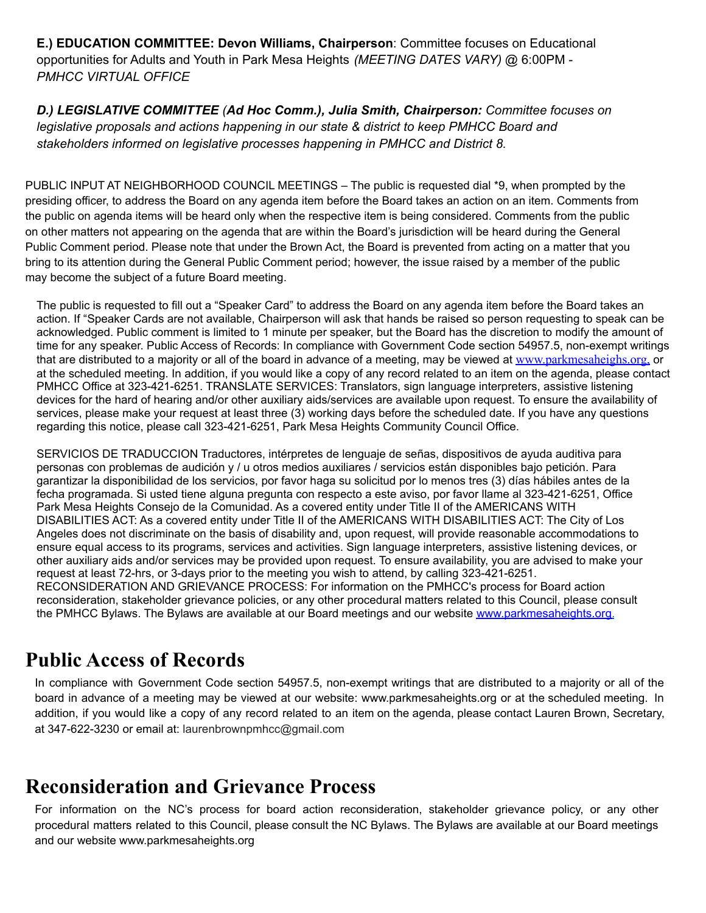**E.) EDUCATION COMMITTEE: Devon Williams, Chairperson**: Committee focuses on Educational opportunities for Adults and Youth in Park Mesa Heights *(MEETING DATES VARY)* @ 6:00PM - *PMHCC VIRTUAL OFFICE*

*D.) LEGISLATIVE COMMITTEE (Ad Hoc Comm.), Julia Smith, Chairperson: Committee focuses on legislative proposals and actions happening in our state & district to keep PMHCC Board and stakeholders informed on legislative processes happening in PMHCC and District 8.*

PUBLIC INPUT AT NEIGHBORHOOD COUNCIL MEETINGS – The public is requested dial \*9, when prompted by the presiding officer, to address the Board on any agenda item before the Board takes an action on an item. Comments from the public on agenda items will be heard only when the respective item is being considered. Comments from the public on other matters not appearing on the agenda that are within the Board's jurisdiction will be heard during the General Public Comment period. Please note that under the Brown Act, the Board is prevented from acting on a matter that you bring to its attention during the General Public Comment period; however, the issue raised by a member of the public may become the subject of a future Board meeting.

The public is requested to fill out a "Speaker Card" to address the Board on any agenda item before the Board takes an action. If "Speaker Cards are not available, Chairperson will ask that hands be raised so person requesting to speak can be acknowledged. Public comment is limited to 1 minute per speaker, but the Board has the discretion to modify the amount of time for any speaker. Public Access of Records: In compliance with Government Code section 54957.5, non-exempt writings that are distributed to a majority or all of the board in advance of a meeting, may be viewed at [www.parkmesaheighs.org,](http://www.parkmesaheights.org/) or at the scheduled meeting. In addition, if you would like a copy of any record related to an item on the agenda, please contact PMHCC Office at 323-421-6251. TRANSLATE SERVICES: Translators, sign language interpreters, assistive listening devices for the hard of hearing and/or other auxiliary aids/services are available upon request. To ensure the availability of services, please make your request at least three (3) working days before the scheduled date. If you have any questions regarding this notice, please call 323-421-6251, Park Mesa Heights Community Council Office.

SERVICIOS DE TRADUCCION Traductores, intérpretes de lenguaje de señas, dispositivos de ayuda auditiva para personas con problemas de audición y / u otros medios auxiliares / servicios están disponibles bajo petición. Para garantizar la disponibilidad de los servicios, por favor haga su solicitud por lo menos tres (3) días hábiles antes de la fecha programada. Si usted tiene alguna pregunta con respecto a este aviso, por favor llame al 323-421-6251, Office Park Mesa Heights Consejo de la Comunidad. As a covered entity under Title II of the AMERICANS WITH DISABILITIES ACT: As a covered entity under Title II of the AMERICANS WITH DISABILITIES ACT: The City of Los Angeles does not discriminate on the basis of disability and, upon request, will provide reasonable accommodations to ensure equal access to its programs, services and activities. Sign language interpreters, assistive listening devices, or other auxiliary aids and/or services may be provided upon request. To ensure availability, you are advised to make your request at least 72-hrs, or 3-days prior to the meeting you wish to attend, by calling 323-421-6251. RECONSIDERATION AND GRIEVANCE PROCESS: For information on the PMHCC's process for Board action reconsideration, stakeholder grievance policies, or any other procedural matters related to this Council, please consult the PMHCC Bylaws. The Bylaws are available at our Board meetings and our website [www.parkmesaheights.org.](http://www.parkmesaheights.org)

# **Public Access of Records**

In compliance with Government Code section 54957.5, non-exempt writings that are distributed to a majority or all of the board in advance of a meeting may be viewed at our website: www.parkmesaheights.org or at the scheduled meeting. In addition, if you would like a copy of any record related to an item on the agenda, please contact Lauren Brown, Secretary, at 347-622-3230 or email at: laurenbrownpmhcc@gmail.com

# **Reconsideration and Grievance Process**

For information on the NC's process for board action reconsideration, stakeholder grievance policy, or any other procedural matters related to this Council, please consult the NC Bylaws. The Bylaws are available at our Board meetings and our website www.parkmesaheights.org